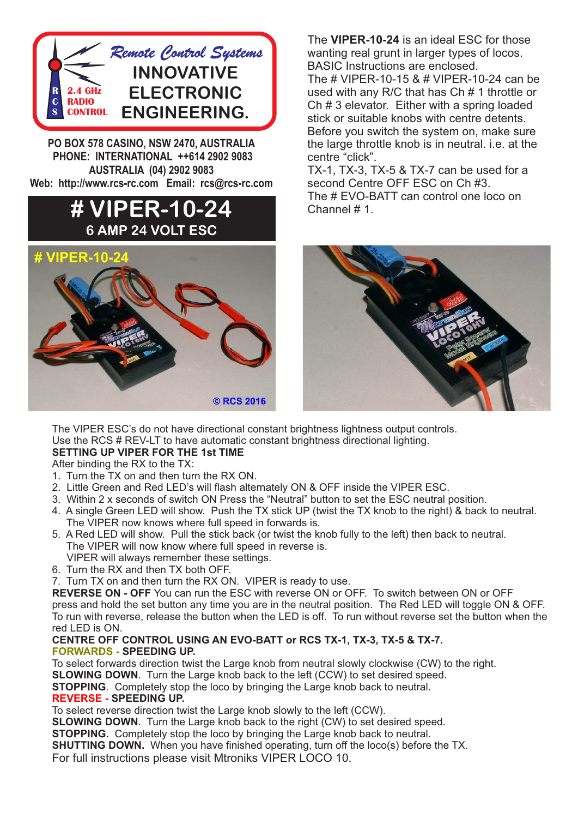

**PO BOX 578 CASINO, NSW 2470, AUSTRALIA PHONE: INTERNATIONAL ++614 2902 9083 AUSTRALIA (04) 2902 9083 Web: http://www.rcs-rc.com Email: rcs@rcs-rc.com**

## **# VIPER-10-24 6 AMP 24 VOLT ESC**



The **VIPER-10-24** is an ideal ESC for those wanting real grunt in larger types of locos. BASIC Instructions are enclosed.

The # VIPER-10-15 & # VIPER-10-24 can be used with any R/C that has Ch # 1 throttle or Ch # 3 elevator. Either with a spring loaded stick or suitable knobs with centre detents. Before you switch the system on, make sure the large throttle knob is in neutral. i.e. at the centre "click".

TX-1, TX-3, TX-5 & TX-7 can be used for a second Centre OFF ESC on Ch #3. The # EVO-BATT can control one loco on Channel # 1.



The VIPER ESC's do not have directional constant brightness lightness output controls. Use the RCS # REV-LT to have automatic constant brightness directional lighting. **SETTING UP VIPER FOR THE 1st TIME**

After binding the RX to the TX:

- 1. Turn the TX on and then turn the RX ON.
- 2. Little Green and Red LED's will flash alternately ON & OFF inside the VIPER ESC.
- 3. Within 2 x seconds of switch ON Press the "Neutral" button to set the ESC neutral position.
- 4. A single Green LED will show. Push the TX stick UP (twist the TX knob to the right) & back to neutral. The VIPER now knows where full speed in forwards is.
- 5. A Red LED will show. Pull the stick back (or twist the knob fully to the left) then back to neutral. The VIPER will now know where full speed in reverse is.
- VIPER will always remember these settings. 6. Turn the RX and then TX both OFF.
- 
- 7. Turn TX on and then turn the RX ON. VIPER is ready to use.

**REVERSE ON - OFF** You can run the ESC with reverse ON or OFF. To switch between ON or OFF press and hold the set button any time you are in the neutral position. The Red LED will toggle ON & OFF. To run with reverse, release the button when the LED is off. To run without reverse set the button when the red LED is ON.

## **CENTRE OFF CONTROL USING AN EVO-BATT or RCS TX-1, TX-3, TX-5 & TX-7. FORWARDS - SPEEDING UP.**

To select forwards direction twist the Large knob from neutral slowly clockwise (CW) to the right.

**SLOWING DOWN**. Turn the Large knob back to the left (CCW) to set desired speed.

**STOPPING**. Completely stop the loco by bringing the Large knob back to neutral.

## **REVERSE - SPEEDING UP.**

To select reverse direction twist the Large knob slowly to the left (CCW).

**SLOWING DOWN**. Turn the Large knob back to the right (CW) to set desired speed.

**STOPPING.** Completely stop the loco by bringing the Large knob back to neutral.

**SHUTTING DOWN.** When you have finished operating, turn off the loco(s) before the TX.

For full instructions please visit Mtroniks VIPER LOCO 10.